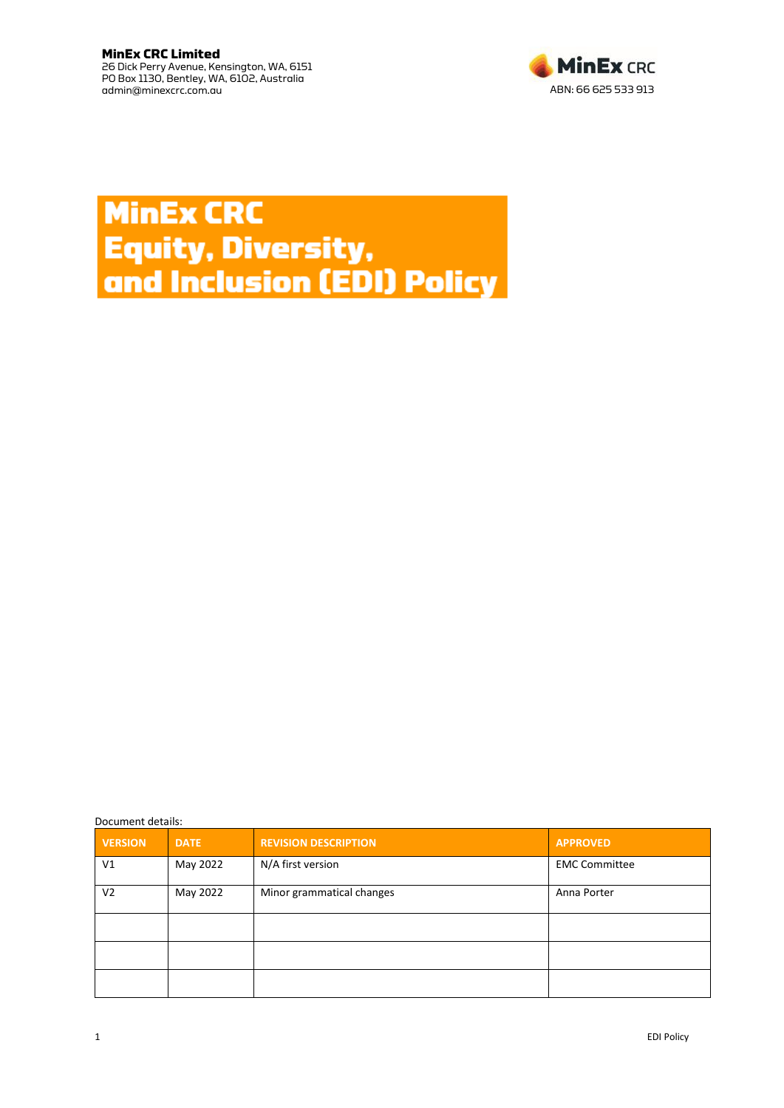

# **MinEx CRC Equity, Diversity,<br>and Inclusion (EDI) Policy**

Document details:

| <b>VERSION</b> | <b>DATE</b> | <b>REVISION DESCRIPTION</b> | <b>APPROVED</b>      |
|----------------|-------------|-----------------------------|----------------------|
| V1             | May 2022    | N/A first version           | <b>EMC Committee</b> |
| V <sub>2</sub> | May 2022    | Minor grammatical changes   | Anna Porter          |
|                |             |                             |                      |
|                |             |                             |                      |
|                |             |                             |                      |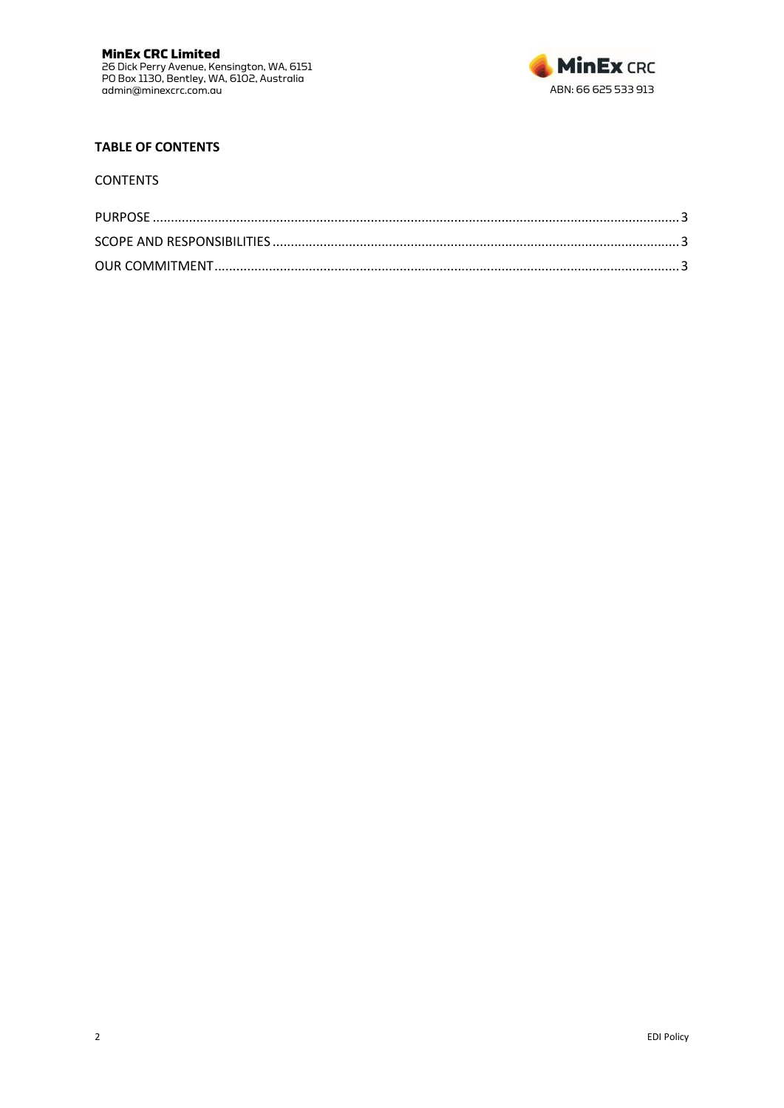

## **TABLE OF CONTENTS**

#### CONTENTS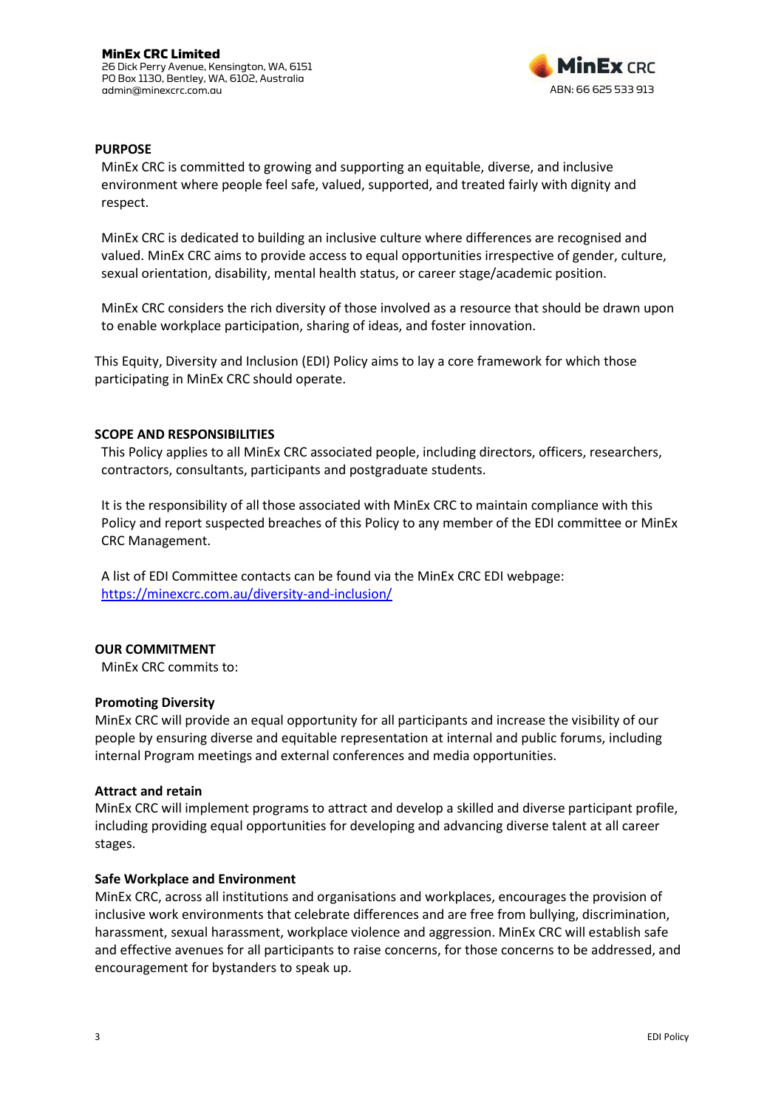

## <span id="page-2-0"></span>**PURPOSE**

MinEx CRC is committed to growing and supporting an equitable, diverse, and inclusive environment where people feel safe, valued, supported, and treated fairly with dignity and respect.

MinEx CRC is dedicated to building an inclusive culture where differences are recognised and valued. MinEx CRC aims to provide access to equal opportunities irrespective of gender, culture, sexual orientation, disability, mental health status, or career stage/academic position.

MinEx CRC considers the rich diversity of those involved as a resource that should be drawn upon to enable workplace participation, sharing of ideas, and foster innovation.

This Equity, Diversity and Inclusion (EDI) Policy aims to lay a core framework for which those participating in MinEx CRC should operate.

## <span id="page-2-1"></span>**SCOPE AND RESPONSIBILITIES**

This Policy applies to all MinEx CRC associated people, including directors, officers, researchers, contractors, consultants, participants and postgraduate students.

It is the responsibility of all those associated with MinEx CRC to maintain compliance with this Policy and report suspected breaches of this Policy to any member of the EDI committee or MinEx CRC Management.

A list of EDI Committee contacts can be found via the MinEx CRC EDI webpage: <https://minexcrc.com.au/diversity-and-inclusion/>

## <span id="page-2-2"></span>**OUR COMMITMENT**

MinEx CRC commits to:

#### **Promoting Diversity**

MinEx CRC will provide an equal opportunity for all participants and increase the visibility of our people by ensuring diverse and equitable representation at internal and public forums, including internal Program meetings and external conferences and media opportunities.

#### **Attract and retain**

MinEx CRC will implement programs to attract and develop a skilled and diverse participant profile, including providing equal opportunities for developing and advancing diverse talent at all career stages.

#### **Safe Workplace and Environment**

MinEx CRC, across all institutions and organisations and workplaces, encourages the provision of inclusive work environments that celebrate differences and are free from bullying, discrimination, harassment, sexual harassment, workplace violence and aggression. MinEx CRC will establish safe and effective avenues for all participants to raise concerns, for those concerns to be addressed, and encouragement for bystanders to speak up.